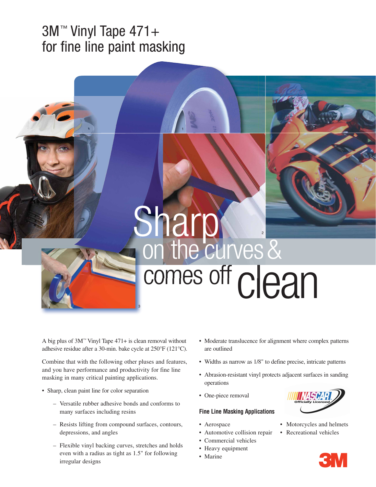## 3M™ Vinyl Tape 471+ for fine line paint masking

# comes off clean Sharp curves &

1

A big plus of 3M™ Vinyl Tape 471+ is clean removal without adhesive residue after a 30-min. bake cycle at 250°F (121°C).

3

Combine that with the following other pluses and features, and you have performance and productivity for fine line masking in many critical painting applications.

- Sharp, clean paint line for color separation
	- Versatile rubber adhesive bonds and conforms to many surfaces including resins
	- Resists lifting from compound surfaces, contours, depressions, and angles
	- Flexible vinyl backing curves, stretches and holds even with a radius as tight as 1.5" for following irregular designs
- Moderate translucence for alignment where complex patterns are outlined
- Widths as narrow as 1/8" to define precise, intricate patterns
- Abrasion-resistant vinyl protects adjacent surfaces in sanding operations
- One-piece removal

### **Fine Line Masking Applications**

- 
- Automotive collision repair Recreational vehicles
- Commercial vehicles
- Heavy equipment
- Marine



- Aerospace Motorcycles and helmets
	- - **3M**